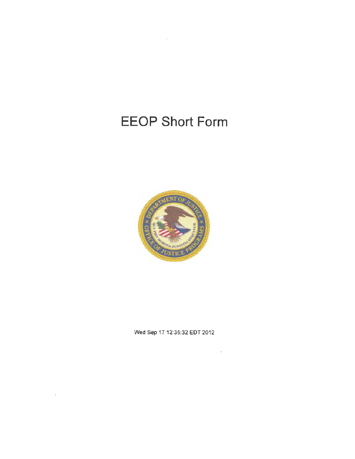# **EEOP Short Form**



Wed Sep 17 12:35:32 EDT 2012

 $\lambda$ 

 $\mathcal{L}^{\text{max}}_{\text{max}}$  and  $\mathcal{L}^{\text{max}}_{\text{max}}$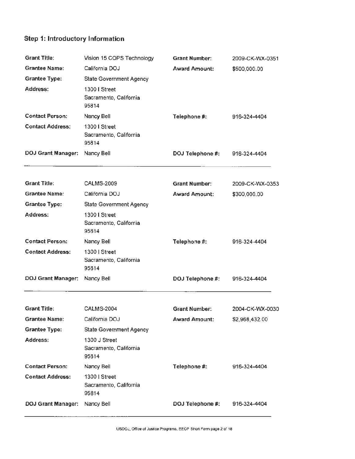# Step 1: Introductory Information

| <b>Grant Title:</b>       | Vision 15 COPS Technology                        | <b>Grant Number:</b>    | 2009-CK-WX-0351 |
|---------------------------|--------------------------------------------------|-------------------------|-----------------|
| <b>Grantee Name:</b>      | California DOJ                                   | <b>Award Amount:</b>    | \$500,000.00    |
| <b>Grantee Type:</b>      | State Government Agency                          |                         |                 |
| Address:                  | 1300   Street<br>Sacramento, California<br>95814 |                         |                 |
| <b>Contact Person:</b>    | Nancy Bell                                       | Telephone #:            | 916-324-4404    |
| <b>Contact Address:</b>   | 1300 I Street<br>Sacramento, California<br>95814 |                         |                 |
| <b>DOJ Grant Manager:</b> | Nancy Bell                                       | DOJ Telephone #:        | 916-324-4404    |
| <b>Grant Title:</b>       | <b>CALMS-2009</b>                                | <b>Grant Number:</b>    | 2009-CK-WX-0353 |
| <b>Grantee Name:</b>      | California DOJ                                   | <b>Award Amount:</b>    | \$300,000.00    |
| <b>Grantee Type:</b>      | State Government Agency                          |                         |                 |
| Address:                  | 1300   Street<br>Sacramento, California<br>95814 |                         |                 |
| <b>Contact Person:</b>    | Nancy Bell                                       | Telephone #:            | 916-324-4404    |
| <b>Contact Address:</b>   | 1300   Street<br>Sacramento, California<br>95814 |                         |                 |
| <b>DOJ Grant Manager:</b> | Nancy Bell                                       | <b>DOJ Telephone #:</b> | 916-324-4404    |
| <b>Grant Title:</b>       | <b>CALMS-2004</b>                                | <b>Grant Number:</b>    | 2004-CK-WX-0030 |
| <b>Grantee Name:</b>      | California DOJ                                   | <b>Award Amount:</b>    | \$2,968,432.00  |
| <b>Grantee Type:</b>      | <b>State Government Agency</b>                   |                         |                 |
| Address:                  | 1300 J Street<br>Sacramento, California<br>95814 |                         |                 |
| <b>Contact Person:</b>    | Nancy Bell                                       | Telephone #:            | 916-324-4404    |
| <b>Contact Address:</b>   |                                                  |                         |                 |
|                           | 1300   Street<br>Sacramento, California<br>95814 |                         |                 |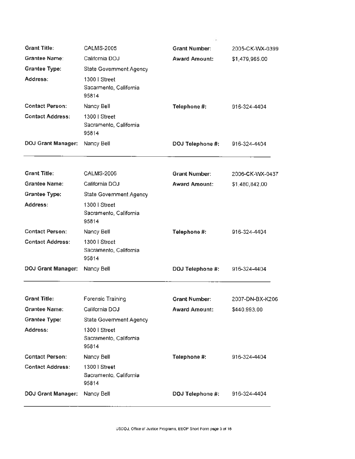| <b>Grant Title:</b>       | <b>CALMS-2005</b>                                | <b>Grant Number:</b>    | 2005-CK-WX-0399 |
|---------------------------|--------------------------------------------------|-------------------------|-----------------|
| <b>Grantee Name:</b>      | California DOJ                                   | <b>Award Amount:</b>    | \$1,479,965.00  |
| <b>Grantee Type:</b>      | <b>State Government Agency</b>                   |                         |                 |
| Address:                  | 1300   Street<br>Sacarmento, California<br>95814 |                         |                 |
| <b>Contact Person:</b>    | Nancy Bell                                       | Telephone #:            | 916-324-4404    |
| <b>Contact Address:</b>   | 1300   Street<br>Sacramento, California<br>95814 |                         |                 |
| <b>DOJ Grant Manager:</b> | Nancy Bell                                       | DOJ Telephone #:        | 916-324-4404    |
| <b>Grant Title:</b>       | <b>CALMS-2006</b>                                | <b>Grant Number:</b>    | 2006-CK-WX-0437 |
| <b>Grantee Name:</b>      | California DOJ                                   | <b>Award Amount:</b>    | \$1,480,842.00  |
| <b>Grantee Type:</b>      | State Government Agency                          |                         |                 |
| Address:                  | 1300   Street<br>Sacramento, California<br>95814 |                         |                 |
| <b>Contact Person:</b>    | Nancy Bell                                       | Telephone #:            | 916-324-4404    |
| <b>Contact Address:</b>   | 1300   Street<br>Sacramento, California<br>95814 |                         |                 |
| <b>DOJ Grant Manager:</b> | Nancy Bell                                       | <b>DOJ Telephone #:</b> | 916-324-4404    |
| <b>Grant Title:</b>       | <b>Forensic Training</b>                         | <b>Grant Number:</b>    | 2007-DN-BX-K206 |
| <b>Grantee Name:</b>      | California DOJ                                   | <b>Award Amount:</b>    | \$440,993.00    |
| <b>Grantee Type:</b>      | State Government Agency                          |                         |                 |
| Address:                  | 1300   Street<br>Sacramento, California<br>95814 |                         |                 |
| <b>Contact Person:</b>    | Nancy Bell                                       | Telephone #:            | 916-324-4404    |
| <b>Contact Address:</b>   | 1300   Street<br>Sacramento, California<br>95814 |                         |                 |
| <b>DOJ Grant Manager:</b> | Nancy Bell                                       | DOJ Telephone #:        | 916-324-4404    |

÷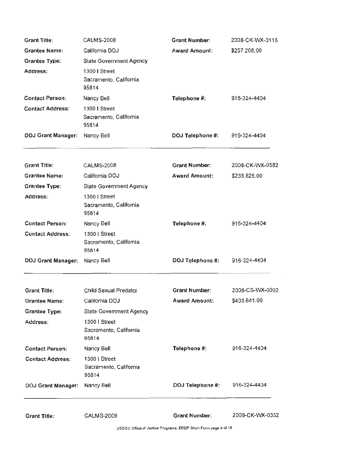| <b>Grant Title:</b>       | CALMS-2008                                       | <b>Grant Number:</b>    | 2008-CK-WX-0115 |
|---------------------------|--------------------------------------------------|-------------------------|-----------------|
| <b>Grantee Name:</b>      | California DOJ                                   | <b>Award Amount:</b>    | \$257,208.00    |
| <b>Grantee Type:</b>      | <b>State Government Agency</b>                   |                         |                 |
| Address:                  | 1300   Street<br>Sacramento, California<br>95814 |                         |                 |
| <b>Contact Person:</b>    | Nancy Bell                                       | Telephone #:            | 916-324-4404    |
| <b>Contact Address:</b>   | 1300   Street<br>Sacramento, California<br>95814 |                         |                 |
| <b>DOJ Grant Manager:</b> | Nancy Bell                                       | DOJ Telephone #:        | 916-324-4404    |
| <b>Grant Title:</b>       | <b>CALMS-2008</b>                                | <b>Grant Number:</b>    | 2008-CK-WX-0582 |
| <b>Grantee Name:</b>      | California DOJ                                   | <b>Award Amount:</b>    | \$233,825.00    |
| <b>Grantee Type:</b>      | <b>State Government Agency</b>                   |                         |                 |
| Address:                  | 1300   Street<br>Sacramento, California<br>95814 |                         |                 |
| <b>Contact Person:</b>    | Nancy Bell                                       | Telephone #:            | 916-324-4404    |
| <b>Contact Address:</b>   | 1300   Street<br>Sacramento, California<br>95814 |                         |                 |
| <b>DOJ Grant Manager:</b> | Nancy Bell                                       | <b>DOJ Telephone #:</b> | 916-324-4404    |
| <b>Grant Title:</b>       | Child Sexual Predator                            | <b>Grant Number:</b>    | 2008-CS-WX-0002 |
| <b>Grantee Name:</b>      | California DOJ                                   | <b>Award Amount:</b>    | \$403,641.00    |
| <b>Grantee Type:</b>      | State Government Agency                          |                         |                 |
| Address:                  | 1300   Street<br>Sacramento, California<br>95814 |                         |                 |
| <b>Contact Person:</b>    | Nancy Bell                                       | Telephone #:            | 916-324-4404    |
| <b>Contact Address:</b>   | 1300   Street<br>Sacramento, California<br>95814 |                         |                 |
| <b>DOJ Grant Manager:</b> | Nancy Bell                                       | DOJ Telephone #:        | 916-324-4404    |
| <b>Grant Title:</b>       | <b>CALMS-2009</b>                                | <b>Grant Number:</b>    | 2009-CK-WX-0352 |

USDOJ. Office of Justice Programs. EEOP Short Form page 4 of 18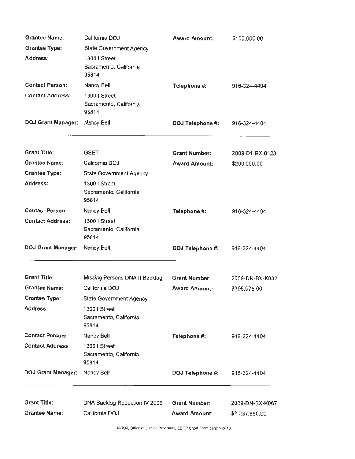| <b>Grantee Name:</b>      | California DOJ                                   | <b>Award Amount:</b> | \$150,000.00    |
|---------------------------|--------------------------------------------------|----------------------|-----------------|
| <b>Grantee Type:</b>      | State Government Agency                          |                      |                 |
| Address:                  | 1300   Street<br>Sacramento, California<br>95814 |                      |                 |
| <b>Contact Person:</b>    | Nancy Bell                                       | Telephone #:         | 916-324-4404    |
| <b>Contact Address:</b>   | 1300   Street<br>Sacramento, California<br>95814 |                      |                 |
| <b>DOJ Grant Manager:</b> | Nancy Bell                                       | DOJ Telephone #:     | 916-324-4404    |
| <b>Grant Title:</b>       | <b>GSET</b>                                      | <b>Grant Number:</b> | 2009-D1-BX-0123 |
| <b>Grantee Name:</b>      | California DOJ                                   | <b>Award Amount:</b> | \$200,000.00    |
| <b>Grantee Type:</b>      | State Government Agency                          |                      |                 |
| Address:                  | 1300   Street<br>Sacramento, California<br>95814 |                      |                 |
| <b>Contact Person:</b>    | Nancy Bell                                       | Telephone #:         | 916-324-4404    |
| <b>Contact Address:</b>   | 1300   Street<br>Sacramento, California<br>95814 |                      |                 |
| <b>DOJ Grant Manager:</b> | Nancy Bell                                       | DOJ Telephone #:     | 916-324-4404    |
| <b>Grant Title:</b>       | Missing Persons DNA II Backlog                   | <b>Grant Number:</b> | 2009-DN-BX-K032 |
| <b>Grantee Name:</b>      | California DOJ                                   | <b>Award Amount:</b> | \$395,975.00    |
| <b>Grantee Type:</b>      | State Government Agency                          |                      |                 |
| Address:                  | 1300   Street<br>Sacramento, California<br>95814 |                      |                 |
| <b>Contact Person:</b>    | Nancy Bell                                       | Telephone #:         | 916-324-4404    |
| <b>Contact Address:</b>   | 1300   Street<br>Sacramento, California<br>95814 |                      |                 |
| <b>DOJ Grant Manager:</b> | Nancy Bell                                       | DOJ Telephone #:     | 916-324-4404    |
| <b>Grant Title:</b>       | DNA Backlog Reduction IV 2009                    | <b>Grant Number:</b> | 2009-DN-BX-K067 |
| Grantee Name:             | California DOJ                                   | <b>Award Amount:</b> | \$2,237,690.00  |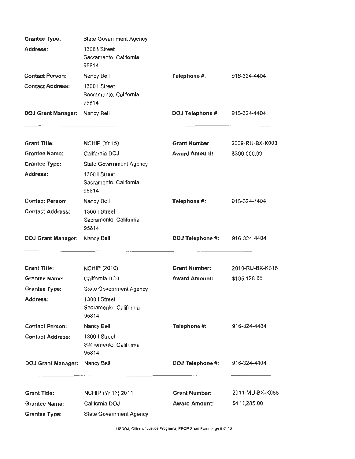| Address:<br>1300   Street<br>Sacramento, California<br>95814<br><b>Contact Person:</b><br>Telephone #:<br>916-324-4404<br>Nancy Bell<br>1300   Street<br><b>Contact Address:</b><br>Sacramento, California<br>95814<br><b>DOJ Grant Manager:</b><br>DOJ Telephone #:<br>Nancy Bell<br>916-324-4404<br><b>Grant Title:</b><br><b>Grant Number:</b><br>NCHIP (Yr 15)<br>2009-RU-BX-K003<br><b>Grantee Name:</b><br>California DOJ<br><b>Award Amount:</b><br>\$300,000.00<br><b>Grantee Type:</b><br>State Government Agency<br>Address:<br>1300   Street<br>Sacramento, Califomia<br>95814<br><b>Contact Person:</b><br>Telephone #:<br>916-324-4404<br>Nancy Bell<br><b>Contact Address:</b><br>1300   Street<br>Sacramento, California<br>95814<br>DOJ Telephone #:<br><b>DOJ Grant Manager:</b><br>Nancy Bell<br>916-324-4404<br><b>Grant Title:</b><br><b>Grant Number:</b><br>2010-RU-BX-K016<br><b>NCHIP (2010)</b><br>California DOJ<br><b>Award Amount:</b><br><b>Grantee Name:</b><br>\$105,128.00<br><b>Grantee Type:</b><br>State Government Agency<br>1300   Street<br>Address:<br>Sacramento, California<br>95814<br><b>Contact Person:</b><br>Telephone #:<br>916-324-4404<br>Nancy Bell<br><b>Contact Address:</b><br>1300   Street<br>Sacramento, Califomia<br>95814<br><b>DOJ Grant Manager:</b><br>DOJ Telephone #:<br>916-324-4404<br>Nancy Bell<br><b>Grant Number:</b><br>2011-MU-BX-K055<br><b>Grant Title:</b><br>NCHIP (Yr 17) 2011<br>California DOJ<br><b>Grantee Name:</b><br><b>Award Amount:</b><br>\$411,285.00<br><b>Grantee Type:</b><br><b>State Government Agency</b> | <b>Grantee Type:</b> | <b>State Government Agency</b> |  |
|--------------------------------------------------------------------------------------------------------------------------------------------------------------------------------------------------------------------------------------------------------------------------------------------------------------------------------------------------------------------------------------------------------------------------------------------------------------------------------------------------------------------------------------------------------------------------------------------------------------------------------------------------------------------------------------------------------------------------------------------------------------------------------------------------------------------------------------------------------------------------------------------------------------------------------------------------------------------------------------------------------------------------------------------------------------------------------------------------------------------------------------------------------------------------------------------------------------------------------------------------------------------------------------------------------------------------------------------------------------------------------------------------------------------------------------------------------------------------------------------------------------------------------------------------------------------------------------------------------|----------------------|--------------------------------|--|
|                                                                                                                                                                                                                                                                                                                                                                                                                                                                                                                                                                                                                                                                                                                                                                                                                                                                                                                                                                                                                                                                                                                                                                                                                                                                                                                                                                                                                                                                                                                                                                                                        |                      |                                |  |
|                                                                                                                                                                                                                                                                                                                                                                                                                                                                                                                                                                                                                                                                                                                                                                                                                                                                                                                                                                                                                                                                                                                                                                                                                                                                                                                                                                                                                                                                                                                                                                                                        |                      |                                |  |
|                                                                                                                                                                                                                                                                                                                                                                                                                                                                                                                                                                                                                                                                                                                                                                                                                                                                                                                                                                                                                                                                                                                                                                                                                                                                                                                                                                                                                                                                                                                                                                                                        |                      |                                |  |
|                                                                                                                                                                                                                                                                                                                                                                                                                                                                                                                                                                                                                                                                                                                                                                                                                                                                                                                                                                                                                                                                                                                                                                                                                                                                                                                                                                                                                                                                                                                                                                                                        |                      |                                |  |
|                                                                                                                                                                                                                                                                                                                                                                                                                                                                                                                                                                                                                                                                                                                                                                                                                                                                                                                                                                                                                                                                                                                                                                                                                                                                                                                                                                                                                                                                                                                                                                                                        |                      |                                |  |
|                                                                                                                                                                                                                                                                                                                                                                                                                                                                                                                                                                                                                                                                                                                                                                                                                                                                                                                                                                                                                                                                                                                                                                                                                                                                                                                                                                                                                                                                                                                                                                                                        |                      |                                |  |
|                                                                                                                                                                                                                                                                                                                                                                                                                                                                                                                                                                                                                                                                                                                                                                                                                                                                                                                                                                                                                                                                                                                                                                                                                                                                                                                                                                                                                                                                                                                                                                                                        |                      |                                |  |
|                                                                                                                                                                                                                                                                                                                                                                                                                                                                                                                                                                                                                                                                                                                                                                                                                                                                                                                                                                                                                                                                                                                                                                                                                                                                                                                                                                                                                                                                                                                                                                                                        |                      |                                |  |
|                                                                                                                                                                                                                                                                                                                                                                                                                                                                                                                                                                                                                                                                                                                                                                                                                                                                                                                                                                                                                                                                                                                                                                                                                                                                                                                                                                                                                                                                                                                                                                                                        |                      |                                |  |
|                                                                                                                                                                                                                                                                                                                                                                                                                                                                                                                                                                                                                                                                                                                                                                                                                                                                                                                                                                                                                                                                                                                                                                                                                                                                                                                                                                                                                                                                                                                                                                                                        |                      |                                |  |
|                                                                                                                                                                                                                                                                                                                                                                                                                                                                                                                                                                                                                                                                                                                                                                                                                                                                                                                                                                                                                                                                                                                                                                                                                                                                                                                                                                                                                                                                                                                                                                                                        |                      |                                |  |
|                                                                                                                                                                                                                                                                                                                                                                                                                                                                                                                                                                                                                                                                                                                                                                                                                                                                                                                                                                                                                                                                                                                                                                                                                                                                                                                                                                                                                                                                                                                                                                                                        |                      |                                |  |
|                                                                                                                                                                                                                                                                                                                                                                                                                                                                                                                                                                                                                                                                                                                                                                                                                                                                                                                                                                                                                                                                                                                                                                                                                                                                                                                                                                                                                                                                                                                                                                                                        |                      |                                |  |
|                                                                                                                                                                                                                                                                                                                                                                                                                                                                                                                                                                                                                                                                                                                                                                                                                                                                                                                                                                                                                                                                                                                                                                                                                                                                                                                                                                                                                                                                                                                                                                                                        |                      |                                |  |
|                                                                                                                                                                                                                                                                                                                                                                                                                                                                                                                                                                                                                                                                                                                                                                                                                                                                                                                                                                                                                                                                                                                                                                                                                                                                                                                                                                                                                                                                                                                                                                                                        |                      |                                |  |
|                                                                                                                                                                                                                                                                                                                                                                                                                                                                                                                                                                                                                                                                                                                                                                                                                                                                                                                                                                                                                                                                                                                                                                                                                                                                                                                                                                                                                                                                                                                                                                                                        |                      |                                |  |
|                                                                                                                                                                                                                                                                                                                                                                                                                                                                                                                                                                                                                                                                                                                                                                                                                                                                                                                                                                                                                                                                                                                                                                                                                                                                                                                                                                                                                                                                                                                                                                                                        |                      |                                |  |
|                                                                                                                                                                                                                                                                                                                                                                                                                                                                                                                                                                                                                                                                                                                                                                                                                                                                                                                                                                                                                                                                                                                                                                                                                                                                                                                                                                                                                                                                                                                                                                                                        |                      |                                |  |
|                                                                                                                                                                                                                                                                                                                                                                                                                                                                                                                                                                                                                                                                                                                                                                                                                                                                                                                                                                                                                                                                                                                                                                                                                                                                                                                                                                                                                                                                                                                                                                                                        |                      |                                |  |
|                                                                                                                                                                                                                                                                                                                                                                                                                                                                                                                                                                                                                                                                                                                                                                                                                                                                                                                                                                                                                                                                                                                                                                                                                                                                                                                                                                                                                                                                                                                                                                                                        |                      |                                |  |
|                                                                                                                                                                                                                                                                                                                                                                                                                                                                                                                                                                                                                                                                                                                                                                                                                                                                                                                                                                                                                                                                                                                                                                                                                                                                                                                                                                                                                                                                                                                                                                                                        |                      |                                |  |
|                                                                                                                                                                                                                                                                                                                                                                                                                                                                                                                                                                                                                                                                                                                                                                                                                                                                                                                                                                                                                                                                                                                                                                                                                                                                                                                                                                                                                                                                                                                                                                                                        |                      |                                |  |
|                                                                                                                                                                                                                                                                                                                                                                                                                                                                                                                                                                                                                                                                                                                                                                                                                                                                                                                                                                                                                                                                                                                                                                                                                                                                                                                                                                                                                                                                                                                                                                                                        |                      |                                |  |
|                                                                                                                                                                                                                                                                                                                                                                                                                                                                                                                                                                                                                                                                                                                                                                                                                                                                                                                                                                                                                                                                                                                                                                                                                                                                                                                                                                                                                                                                                                                                                                                                        |                      |                                |  |
|                                                                                                                                                                                                                                                                                                                                                                                                                                                                                                                                                                                                                                                                                                                                                                                                                                                                                                                                                                                                                                                                                                                                                                                                                                                                                                                                                                                                                                                                                                                                                                                                        |                      |                                |  |
|                                                                                                                                                                                                                                                                                                                                                                                                                                                                                                                                                                                                                                                                                                                                                                                                                                                                                                                                                                                                                                                                                                                                                                                                                                                                                                                                                                                                                                                                                                                                                                                                        |                      |                                |  |
|                                                                                                                                                                                                                                                                                                                                                                                                                                                                                                                                                                                                                                                                                                                                                                                                                                                                                                                                                                                                                                                                                                                                                                                                                                                                                                                                                                                                                                                                                                                                                                                                        |                      |                                |  |
|                                                                                                                                                                                                                                                                                                                                                                                                                                                                                                                                                                                                                                                                                                                                                                                                                                                                                                                                                                                                                                                                                                                                                                                                                                                                                                                                                                                                                                                                                                                                                                                                        |                      |                                |  |
|                                                                                                                                                                                                                                                                                                                                                                                                                                                                                                                                                                                                                                                                                                                                                                                                                                                                                                                                                                                                                                                                                                                                                                                                                                                                                                                                                                                                                                                                                                                                                                                                        |                      |                                |  |
|                                                                                                                                                                                                                                                                                                                                                                                                                                                                                                                                                                                                                                                                                                                                                                                                                                                                                                                                                                                                                                                                                                                                                                                                                                                                                                                                                                                                                                                                                                                                                                                                        |                      |                                |  |
|                                                                                                                                                                                                                                                                                                                                                                                                                                                                                                                                                                                                                                                                                                                                                                                                                                                                                                                                                                                                                                                                                                                                                                                                                                                                                                                                                                                                                                                                                                                                                                                                        |                      |                                |  |
|                                                                                                                                                                                                                                                                                                                                                                                                                                                                                                                                                                                                                                                                                                                                                                                                                                                                                                                                                                                                                                                                                                                                                                                                                                                                                                                                                                                                                                                                                                                                                                                                        |                      |                                |  |
|                                                                                                                                                                                                                                                                                                                                                                                                                                                                                                                                                                                                                                                                                                                                                                                                                                                                                                                                                                                                                                                                                                                                                                                                                                                                                                                                                                                                                                                                                                                                                                                                        |                      |                                |  |
|                                                                                                                                                                                                                                                                                                                                                                                                                                                                                                                                                                                                                                                                                                                                                                                                                                                                                                                                                                                                                                                                                                                                                                                                                                                                                                                                                                                                                                                                                                                                                                                                        |                      |                                |  |
|                                                                                                                                                                                                                                                                                                                                                                                                                                                                                                                                                                                                                                                                                                                                                                                                                                                                                                                                                                                                                                                                                                                                                                                                                                                                                                                                                                                                                                                                                                                                                                                                        |                      |                                |  |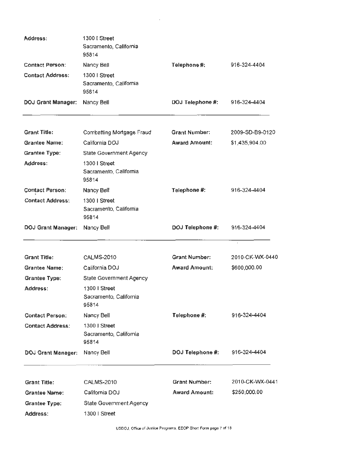| Address:                  | 1300   Street<br>Sacramento, California<br>95814 |                      |                 |
|---------------------------|--------------------------------------------------|----------------------|-----------------|
| <b>Contact Person:</b>    | Nancy Bell                                       | Telephone #:         | 916-324-4404    |
| <b>Contact Address:</b>   | 1300   Street<br>Sacramento, California<br>95814 |                      |                 |
| <b>DOJ Grant Manager:</b> | Nancy Bell                                       | DOJ Telephone #:     | 916-324-4404    |
| <b>Grant Title:</b>       | Combatting Mortgage Fraud                        | <b>Grant Number:</b> | 2009-SD-B9-0120 |
| <b>Grantee Name:</b>      | California DOJ                                   | <b>Award Amount:</b> | \$1,435,904.00  |
| <b>Grantee Type:</b>      | State Government Agency                          |                      |                 |
| Address:                  | 1300   Street<br>Sacramento, California<br>95814 |                      |                 |
| <b>Contact Person:</b>    | Nancy Bell                                       | Telephone #:         | 916-324-4404    |
| <b>Contact Address:</b>   | 1300   Street<br>Sacramento, California<br>95814 |                      |                 |
| <b>DOJ Grant Manager:</b> | Nancy Bell                                       | DOJ Telephone #:     | 916-324-4404    |
|                           |                                                  |                      |                 |
| <b>Grant Title:</b>       | CALMS-2010                                       | <b>Grant Number:</b> | 2010-CK-WX-0440 |
| <b>Grantee Name:</b>      | California DOJ                                   | <b>Award Amount:</b> | \$600,000.00    |
| <b>Grantee Type:</b>      | State Government Agency                          |                      |                 |
| Address:                  | 1300 I Street<br>Sacramento, California<br>95814 |                      |                 |
| <b>Contact Person:</b>    | Nancy Bell                                       | Telephone #:         | 916-324-4404    |
| <b>Contact Address:</b>   | 1300   Street<br>Sacramento, California<br>95814 |                      |                 |
| <b>DOJ Grant Manager:</b> | Nancy Bell                                       | DOJ Telephone #:     | 916-324-4404    |
| <b>Grant Title:</b>       | <b>CALMS-2010</b>                                | <b>Grant Number:</b> | 2010-CK-WX-0441 |
| <b>Grantee Name:</b>      | California DOJ                                   | <b>Award Amount:</b> | \$250,000.00    |
| <b>Grantee Type:</b>      | State Government Agency                          |                      |                 |
| Address:                  | 1300   Street                                    |                      |                 |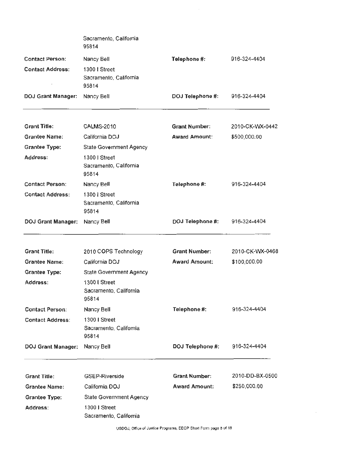|                           | Sacramento, California<br>95814                  |                      |                 |
|---------------------------|--------------------------------------------------|----------------------|-----------------|
| <b>Contact Person:</b>    | Nancy Bell                                       | Telephone #:         | 916-324-4404    |
| <b>Contact Address:</b>   | 1300   Street<br>Sacramento, California<br>95814 |                      |                 |
| <b>DOJ Grant Manager:</b> | Nancy Bell                                       | DOJ Telephone #:     | 916-324-4404    |
| <b>Grant Title:</b>       | <b>CALMS-2010</b>                                | <b>Grant Number:</b> | 2010-CK-WX-0442 |
| <b>Grantee Name:</b>      | California DOJ                                   | <b>Award Amount:</b> | \$500,000.00    |
| <b>Grantee Type:</b>      | <b>State Government Agency</b>                   |                      |                 |
| Address:                  | 1300   Street<br>Sacramento, California<br>95814 |                      |                 |
| <b>Contact Person:</b>    | Nancy Bell                                       | Telephone #:         | 916-324-4404    |
| <b>Contact Address:</b>   | 1300   Street<br>Sacramento, California<br>95814 |                      |                 |
| DOJ Grant Manager:        | Nancy Bell                                       | DOJ Telephone #:     | 916-324-4404    |
| <b>Grant Title:</b>       | 2010 COPS Technology                             | <b>Grant Number:</b> | 2010-CK-WX-0468 |
| <b>Grantee Name:</b>      | California DOJ                                   | <b>Award Amount:</b> | \$100,000.00    |
| <b>Grantee Type:</b>      | State Government Agency                          |                      |                 |
| Address:                  | 1300   Street<br>Sacramento, California<br>95814 |                      |                 |
| <b>Contact Person:</b>    | Nancy Bell                                       | Telephone #:         | 916-324-4404    |
| <b>Contact Address:</b>   | 1300   Street<br>Sacramento, California<br>95814 |                      |                 |
| <b>DOJ Grant Manager:</b> | Nancy Bell                                       | DOJ Telephone #:     | 916-324-4404    |
| <b>Grant Title:</b>       | <b>GSEP-Riverside</b>                            | <b>Grant Number:</b> | 2010-DD-BX-0500 |
| <b>Grantee Name:</b>      | California DOJ                                   | <b>Award Amount:</b> | \$250,000.00    |
| <b>Grantee Type:</b>      | State Government Agency                          |                      |                 |
| Address:                  | 1300 I Street<br>Sacramento, California          |                      |                 |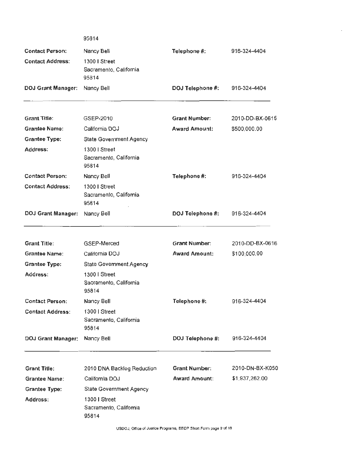|                           | 95814                                            |                      |                 |
|---------------------------|--------------------------------------------------|----------------------|-----------------|
| <b>Contact Person:</b>    | Nancy Bell                                       | Telephone #:         | 916-324-4404    |
| <b>Contact Address:</b>   | 1300   Street<br>Sacramento, California<br>95814 |                      |                 |
| <b>DOJ Grant Manager:</b> | Nancy Bell                                       | DOJ Telephone #:     | 916-324-4404    |
| <b>Grant Title:</b>       | GSEP-2010                                        | <b>Grant Number:</b> | 2010-DD-BX-0615 |
| <b>Grantee Name:</b>      | California DOJ                                   | <b>Award Amount:</b> | \$500,000.00    |
| <b>Grantee Type:</b>      | <b>State Government Agency</b>                   |                      |                 |
| Address:                  | 1300   Street<br>Sacramento, California<br>95814 |                      |                 |
| <b>Contact Person:</b>    | Nancy Bell                                       | Telephone #:         | 916-324-4404    |
| <b>Contact Address:</b>   | 1300   Street<br>Sacramento, California<br>95814 |                      |                 |
| <b>DOJ Grant Manager:</b> | Nancy Bell                                       | DOJ Telephone #:     | 916-324-4404    |
| <b>Grant Title:</b>       | GSEP-Merced                                      | <b>Grant Number:</b> | 2010-DD-BX-0616 |
| <b>Grantee Name:</b>      | California DOJ                                   | <b>Award Amount:</b> | \$100,000.00    |
| <b>Grantee Type:</b>      | State Government Agency                          |                      |                 |
| Address:                  | 1300   Street<br>Sacramento, California<br>95814 |                      |                 |
| <b>Contact Person:</b>    | Nancy Bell                                       | Telephone #:         | 916-324-4404    |
| <b>Contact Address:</b>   | 1300   Street<br>Sacramento, California<br>95814 |                      |                 |
| <b>DOJ Grant Manager:</b> | Nancy Bell                                       | DOJ Telephone #:     | 916-324-4404    |
| <b>Grant Title:</b>       | 2010 DNA Backlog Reduction                       | <b>Grant Number:</b> | 2010-DN-BX-K050 |
| <b>Grantee Name:</b>      | California DOJ                                   | <b>Award Amount:</b> | \$1,937,262.00  |
| <b>Grantee Type:</b>      | State Government Agency                          |                      |                 |
| Address:                  | 1300   Street<br>Sacramento, California<br>95814 |                      |                 |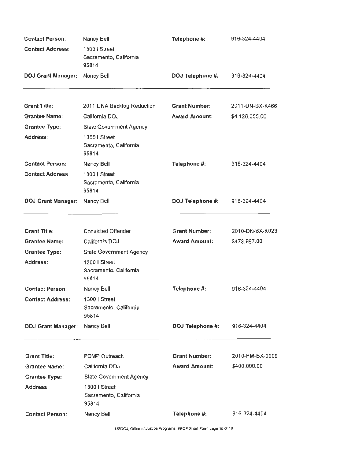| <b>Contact Person:</b>    | Nancy Bell                                       | Telephone #:         | 916-324-4404    |  |  |
|---------------------------|--------------------------------------------------|----------------------|-----------------|--|--|
| <b>Contact Address:</b>   | 1300   Street<br>Sacramento, California<br>95814 |                      |                 |  |  |
| <b>DOJ Grant Manager:</b> | Nancy Bell                                       | DOJ Telephone #:     | 916-324-4404    |  |  |
| <b>Grant Title:</b>       | 2011 DNA Backlog Reduction                       | <b>Grant Number:</b> | 2011-DN-BX-K466 |  |  |
| <b>Grantee Name:</b>      | California DOJ                                   | <b>Award Amount:</b> | \$4,128,355.00  |  |  |
| <b>Grantee Type:</b>      | State Government Agency                          |                      |                 |  |  |
| Address:                  | 1300   Street<br>Sacramento, California<br>95814 |                      |                 |  |  |
| <b>Contact Person:</b>    | Nancy Bell                                       | Telephone #:         | 916-324-4404    |  |  |
| <b>Contact Address:</b>   | 1300   Street<br>Sacramento, California<br>95814 |                      |                 |  |  |
| <b>DOJ Grant Manager:</b> | Nancy Bell                                       | DOJ Telephone #:     | 916-324-4404    |  |  |
|                           |                                                  |                      |                 |  |  |
| <b>Grant Title:</b>       | <b>Convicted Offender</b>                        | <b>Grant Number:</b> | 2010-DN-BX-K023 |  |  |
| <b>Grantee Name:</b>      | California DOJ                                   | <b>Award Amount:</b> | \$473,967.00    |  |  |
| <b>Grantee Type:</b>      | <b>State Government Agency</b>                   |                      |                 |  |  |
| Address:                  | 1300   Street<br>Sacramento, California<br>95814 |                      |                 |  |  |
| <b>Contact Person:</b>    | Nancy Bell                                       | Telephone #:         | 916-324-4404    |  |  |
| <b>Contact Address:</b>   | 1300   Street<br>Sacramento, California<br>95814 |                      |                 |  |  |
| <b>DOJ Grant Manager:</b> | Nancy Bell                                       | DOJ Telephone #:     | 916-324-4404    |  |  |
| <b>Grant Title:</b>       | PDMP Outreach                                    | <b>Grant Number:</b> | 2010-PM-BX-0009 |  |  |
| <b>Grantee Name:</b>      | California DOJ                                   | <b>Award Amount:</b> | \$400,000.00    |  |  |
| <b>Grantee Type:</b>      | State Government Agency                          |                      |                 |  |  |
| Address:                  | 1300   Street<br>Sacramento, California<br>95814 |                      |                 |  |  |
| <b>Contact Person:</b>    | Nancy Bell                                       | Telephone #:         | 916-324-4404    |  |  |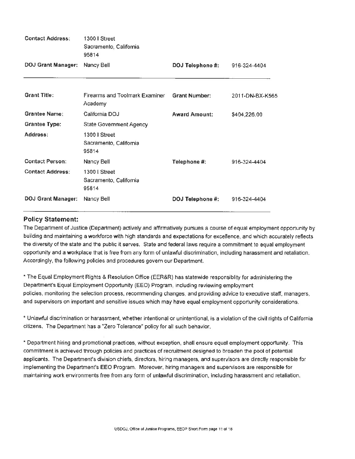| <b>Contact Address:</b>   | 1300 I Street<br>Sacramento, California<br>95814 |                      |                 |
|---------------------------|--------------------------------------------------|----------------------|-----------------|
| <b>DOJ Grant Manager:</b> | Nancy Bell                                       | DOJ Telephone #:     | 916-324-4404    |
| <b>Grant Title:</b>       | Firearms and Toolmark Examiner<br>Academy        | <b>Grant Number:</b> | 2011-DN-BX-K565 |
| <b>Grantee Name:</b>      | California DOJ                                   | <b>Award Amount:</b> | \$404,226.00    |
| <b>Grantee Type:</b>      | State Government Agency                          |                      |                 |
| Address:                  | 1300 I Street<br>Sacramento, California<br>95814 |                      |                 |
| <b>Contact Person:</b>    | Nancy Bell                                       | Telephone #:         | 916-324-4404    |
| <b>Contact Address:</b>   | 1300   Street<br>Sacramento, California<br>95814 |                      |                 |
| <b>DOJ Grant Manager:</b> | Nancy Bell                                       | DOJ Telephone #:     | 916-324-4404    |

# Policy Statement:

The Department of Justice (Department) actively and affirmatively pursues a course of equal employment opportunity by building and maintaining a workforce with high standards and expectations for excellence, and which accurately reflects the diversity of the state and the public it serves. State and federal laws require a commitment to equal employment opportunity and a workplace that is free from any form of unlawful discrimination, including harassment and retaliation. Accordingly, the following policies and procedures govern our Department.

" The Equal Employment Rights & Resolution Office (EER&R) has statewide responsiblity for administering the Department's Equal Employment Opportunity (EEO) Program, including reviewing employment policies, monitoring the selection process, recommending changes, and providing advice to executive staff, managers, and supervisors on important and sensitive issues which may have equal employment opportunity considerations.

\* Unlawful discrimination or harassment, whether intentional or unintentional, is a violation of the civil rights of California citizens. The Department has a "Zero Tolerance" policy for all such behavior.

\* Department hiring and promotional practices, without exception, shall ensure equal employment opportunity. This commitment is achieved through policies and practices of recruitment designed to broaden the pool of potential applicants. The Department's division chiefs, directors, hiring managers, and supervisors are directly responsible for implementing the Department's EEO Program. Moreover, hiring managers and supervisors are responsible for maintaining work environments free from any form of unlawful discrimination, including harassment and retaliation.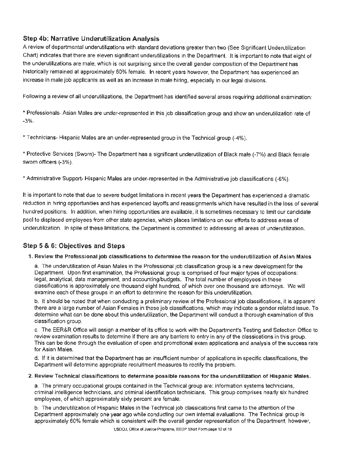# Step 4b: Narrative Underutilization Analysis

A review of departmental underutilizations with standard deviations greater than two (See Significant Underutilization Chart) indicates that there are eleven significant underutilizations in the Department. It is important to note that eight of the underutilizations are male, which is not surprising since the overall gender composition of the Department has historically remained at approximately 60% female. In recent years however, the Department has experienced an increase in male job applicants as well as an increase in male hiring, especially in our legal divisions.

Following a review of all underutilizations, the Department has identified several areas requiring additional examination:

\* Professionals- Asian Males are under-represented in this job classification group and show an underutilization rate of -3%.

\*Technicians- Hispanic Males are an under-represented group in the Technical group (-4%).

\*Protective Services (Sworn)- The Department has a significant underutilization of Black male (-7%) and Black female sworn officers (-3%).

\*Administrative Support- Hispanic Males are under-represented in the Administrative job classifications (-6%).

It is important to note that due to severe budget limitations in recent years the Department has experienced a dramatic reduction in hiring opportunities and has experienced layoffs and reassignments which have resulted in the loss of several hundred positions. In addition, when hiring opportunities are available, it is sometimes necessary to limit our candidate pool to displaced employees from other state agencies, which places limitations on our efforts to address areas of underutilization. In spite of these limitations, the Department is committed to addressing all areas of underutilization.

# Step 5 & 6: Objectives and Steps

#### 1. Review the Professional job classifications to determine the reason for the underutilization of Asian Males

a. The underutilization of Asian Males in the Professional job classification group is a new development for the Department. Upon first examination, the Professional group is comprised of four major types of occupations: legal, analytical, data management. and accounting/budgets. The total number of employees in these classifications is approximately one thousand eight hundred, of which over one thousand are attorneys. We will examine each of these groups in an effort to determine the reason for this underutilization.

b. It should be noted that when conducting a preliminary review of the Professional job classifications, it is apparent there are a large number of Asian Females in these job classifications, which may indicate a gender related issue. To determine what can be done about this underutilization. the Department will conduct a thorough examination of this classification group.

c. The EER&R Office will assign a member of its office to work with the Department's Testing and Selection Office to review examination results to determine if there are any barriers to entry in any of the classications in this group. This can be done through the evaluation of open and promotional exam applications and analysis of the success rate for Asian Males.

d. If it is determined that the Department has an insufficient number of applications in specific classifications, the Department will determine appropriate recruitment measures to rectify the problem.

#### 2. Review Technical classifications to determine possible reasons for the underutllization of Hispanic Males.

a. The primary occupational groups contained in the Technical group are: information systems technicians. criminal intelligence technicians, and criminal identification technicians. This group comprises nearly six hundred employees, of which approximately sixty percent are female.

b. The underutilization of Hispanic Males in the Technical job classications first came to the attention of the Department approximately one year ago while conducting our own internal evaluations. The Technical group is approximately 60% female which is consistent with the overall gender representation of the Department; however,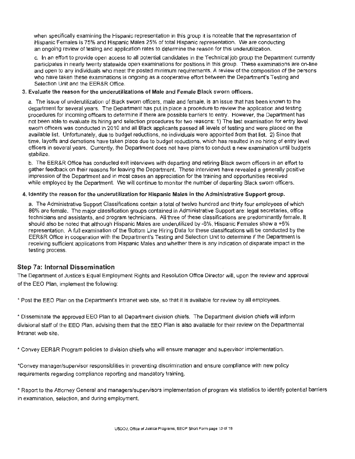an ongoing review of testing and application rates to determine the reason for this underutilization. when specifically examining the Hispanic representation in this group it is noteable that the representation of Hispanic Females is 75% and Hispanic Males 25% of total Hispanic representation. We are conducting

and open to any individuals who meet the posted minimum requirements. A review of the composition of the persons c. In an effort to provide open access to all potential candidates in the Technical job group the Department currently participates in nearly twenty statewide open examinations for positions in this group. These examinations are on-line who have taken these examinations is ongoing as a cooperative effort between the Department's Testing and Selection Unit and the EER&R Office.

#### 3. Evaluate the reason for the underutilizations of Male and Female Black sworn officers.

department for several years. The Department has put in place a procedure to review the application and testing a. The issue of underutilization of Black sworn officers, male and female, is an issue that has been known to the procedures for incoming officers to determine if there are possible barriers to entry. However, the Department has not been able to evaluate its hiring and selection procedures for two reasons: 1) The last examination for entry level sworn officers was conducted in 2010 and all Black applicants passed all levels of testing and were placed on the available list. Unfortunately, due to budget reductions, no individuals were appointed from that list. 2) Since that time, layoffs and demotions have taken place due to budget reductions, which has resulted in no hiring of entry level officers in several years. Currently, the Department does not have plans to conduct a new examination until budgets stabilize.

while employed by the Department. We will continue to monitor the number of departing Black sworn officers. b. The EER&R Office has conducted exit interviews with departing and retiring Black sworn officers in an effort to gather feedback on their reasons for leaving the Department. These interviews have revealed a generally positive impression of the Department and in most cases an appreciation for the training and opportunities received

#### 4. Identify the reason for the underutilization for Hispanic Males in the Administrative Support group.

a. The Administrative Support Classifications contain a total of twelve hundred and thirty four employees of which 86% are female. The major classification groups contained in Administrative Support are: legal secretaries, office technicians and assistants, and program technicians. All three of these classifications are predominantly female. It should also be noted that although Hispanic Males are underutilized by -6%, Hispanic Females show a +6% representation. A full examination of the Bottom Line Hiring Data for these classifications will be conducted by the EER&R Office in cooperation with the Department's Testing and Selection Unit to determine if the Department is receiving sufficient applications from Hispanic Males and whether there is any indication of disparate impact in the testing process.

#### Step 7a: Internal Dissemination

The Department of Justice's Equal Employment Rights and Resolution Office Director will, upon the review and approval of the EEO Plan, implement the following:

• Post the EEO Plan on the Department's Intranet web site, so that it is available for review by all employees.

• Disseminate the approved EEO Plan to all Department division chiefs. The Department division chiefs will inform divisional staff of the EEO Plan, advising them that the EEO Plan is also available for their review on the Departmental Intranet web site.

• Convey EER&R Program policies to division chiefs who will ensure manager and supervisor implementation.

\*Convey manager/supervisor responsiblities in preventing discrimination and ensure compliance with new policy requirements regarding compliance reporting and mandatory training.

• Report to the Attorney General and managers/supervisors implementation of program via statistics to identify potential barriers in examination, selection, and during employment.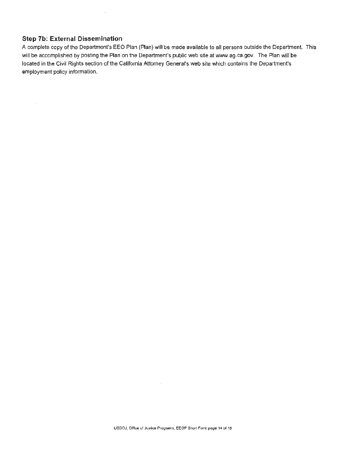# **Step 7b: External Dissemination**

 $\mathcal{L}$ 

 $\sim$ 

A complete copy of the Department's EEO Plan (Plan) will be made available to all persons outside the Department. This will be accomplished by posting the Plan on the Department's public web site at www.ag.ca.gov. The Plan will pe located in the Civil Rights section of the California Attorney General's web site which contains the Department' s employment policy information.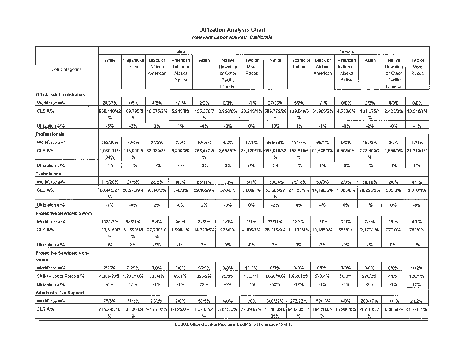# Utilization Analysis Chart Relevant Labor Market: California

|                                    |                   |                       |                                 | Male                                      |                |                                                       |                         |                           |                       |                                 | Female                                    |                |                                                       |                         |
|------------------------------------|-------------------|-----------------------|---------------------------------|-------------------------------------------|----------------|-------------------------------------------------------|-------------------------|---------------------------|-----------------------|---------------------------------|-------------------------------------------|----------------|-------------------------------------------------------|-------------------------|
| <b>Job Categories</b>              | White             | Hispanic or<br>Latino | Black or<br>African<br>American | American<br>Indian or<br>Alaska<br>Native | Asian          | Native<br>Hawaiian<br>or Other<br>Pacific<br>Islander | Two or<br>More<br>Races | White                     | Hispanic or<br>Latino | Black or<br>African<br>American | American<br>Indian or<br>Alaska<br>Native | Asian          | Native<br>Hawaiian<br>or Other<br>Pacific<br>Islander | Two or<br>More<br>Races |
| Officials/Administrators           |                   |                       |                                 |                                           |                |                                                       |                         |                           |                       |                                 |                                           |                |                                                       |                         |
| Workforce #/%                      | 28/37%            | 4/5%                  | 4/5%                            | 1/1%                                      | 2/3%           | 0/0%                                                  | 1/1%                    | 27/36%                    | 5/7%                  | 1/1%                            | 0/0%                                      | 2/3%           | 0/0%                                                  | 0/0%                    |
| CLS #/%                            | 968,410/42<br>%   | 189,795/8<br>%        | 48,075/2%                       | 5.245/0%                                  | 155,370/7<br>% | 2.950/0%                                              |                         | 23.215/1% 589.775/26<br>% | 139,040/6<br>%        | 51,985/2%                       | 4,550/0%                                  | 101,075/4<br>% | 2.425/0%                                              | 13.540/1%               |
| Utilization #/%                    | $-5%$             | $-3%$                 | 3%                              | 1%                                        | $-4%$          | $-0%$                                                 | 0%                      | 10%                       | $1\%$                 | $-1\%$                          | $-0%$                                     | -2%            | $-0\%$                                                | $-1\%$                  |
| <b>Professionals</b>               |                   |                       |                                 |                                           |                |                                                       |                         |                           |                       |                                 |                                           |                |                                                       |                         |
| Workforce #/%                      | 552/30%           | 79/4%                 | 34/2%                           | 3/0%                                      | 104/6%         | 4/0%                                                  | 17/1%                   | 665/36%                   | 131/7%                | 65/4%                           | 0/0%                                      | 152/8%         | 3/0%                                                  | 17/1%                   |
| CLS #/%                            | 1,030,045/<br>34% | 148,090/5<br>%        | 63,930/2%                       | 5,290/0%                                  | 255,440/8<br>% | 2,585/0%                                              | 24,420/1%               | 988,015/32<br>%           | 183,810/6<br>%        | 91.605/3%                       | 6,805/0%                                  | 223,490/7<br>% | 2,830/0%                                              | 21,340/1%               |
| Utilization #/%                    | -4%               | $-1\%$                | $-0\%$                          | $-0\%$                                    | $-3%$          | 0%                                                    | 0%                      | 4%                        | 1%                    | 1%                              | $-0%$                                     | 1%             | 0%                                                    | 0%                      |
| Technicians                        |                   |                       |                                 |                                           |                |                                                       |                         |                           |                       |                                 |                                           |                |                                                       |                         |
| Workforce #/%                      | 115/20%           | 27/5%                 | 28/5%                           | 0/0%                                      | 65/11%         | 1/0%                                                  | 6/1%                    | 139/24%                   | 75/13%                | 50/9%                           | 2/0%                                      | 58/10%         | 2/0%                                                  | 4/1%                    |
| CLS #/%                            | 83,445/27<br>%    | 28,670/9%             | 9,360/3%                        | 640/0%                                    | 29,165/9%      | 570/0%                                                | 3,000/1%                | 82,695/27<br>%            | 27.125/9%             | 14,190/5%                       | 1.085/0%                                  | 28,255/9%      | 585/0%                                                | 3,070/1%                |
| Utilization #/%                    | $-7%$             | $-4%$                 | 2%                              | $-0\%$                                    | 2%             | $-0%$                                                 | $0\%$                   | $-2%$                     | 4%                    | 4%                              | 0%                                        | 1%             | $0\%$                                                 | -0%                     |
| <b>Protective Services: Swom</b>   |                   |                       |                                 |                                           |                |                                                       |                         |                           |                       |                                 |                                           |                |                                                       |                         |
| Workforce #/%                      | 132/47%           | 58/21%                | 8/3%                            | $0/0\%$                                   | 22/8%          | 1/0%                                                  | 3/1%                    | 32/11%                    | 12/4%                 | 2/1%                            | 0/0%                                      | 7/2%           | 1/0%                                                  | 4/1%                    |
| CLS #/%                            | 133,515/47 <br>%  | 51,590/18<br>%        | 27,730/10<br>%                  | 1,990/1%                                  | 14,320/5%      | 975/0%                                                | 4,105/1%                | 26,115/9%                 | 11,130/4%             | 10,185/4%                       | 555/0%                                    | 2,170/1%       | 270/0%                                                | 780/0%                  |
| Utilization #/%                    | $0\%$             | 2%                    | $-7%$                           | $-1%$                                     | 3%             | 0%                                                    | $-0\%$                  | 2%                        | 0%                    | $-3%$                           | $-0\%$                                    | 2%             | 0%                                                    | 1%                      |
| Protective Services: Non-<br>sworn |                   |                       |                                 |                                           |                |                                                       |                         |                           |                       |                                 |                                           |                |                                                       |                         |
| Workforce #/%                      | 2/25%             | 2/25%                 | 0/0%                            | 0/0%                                      | 2/25%          | 0/0%                                                  | 1/12%                   | 0/0%                      | 0/0%                  | 0/0%                            | 0/0%                                      | 0/0%           | 0/0%                                                  | 1/12%                   |
| Civilian Labor Force #/%           | 4,365/33%         | 1,335/10%             | 520/4%                          | 85/1%                                     | 225/2%         | 30/0%                                                 | 170/1%                  | 4,065/30%                 | .550/12%              | 570/4%                          | 55/0%                                     | 280/2%         | 4/0%                                                  | 120/1%                  |
| Utilization #/%                    | $-8%$             | 15%                   | $-4%$                           | $-1%$                                     | 23%            | $-0%$                                                 | 11%                     | $-30%$                    | $-12%$                | $-4%$                           | $-0\%$                                    | $-2\%$         | $-0\%$                                                | 12%                     |
| Administrative Support             |                   |                       |                                 |                                           |                |                                                       |                         |                           |                       |                                 |                                           |                |                                                       |                         |
| Workforce #/%                      | 75/6%             | 37/3%                 | 23/2%                           | 2/0%                                      | 58/5%          | 4/0%                                                  | 1/0%                    | 360/29%                   | 272/22%               | 159/13%                         | 4/0%                                      | 203/17%        | 11/1%                                                 | 21/2%                   |
| CLS #/%                            | 715,295/18<br>%   | 338,360/9<br>℅        | 92.765/2%                       | 6,025/0%                                  | 165,335/4<br>℅ | 5.015/0%                                              | 27,390/1%               | .386,390/<br>35%          | 648,805/17<br>%       | 194,500/5<br>℅                  | 15,900/0%                                 | 262,105/7<br>% | 10.085/0%                                             | 41.740/1%               |

USDOJ, Office of Justice Programs, EEOP Short Form page 15 of 18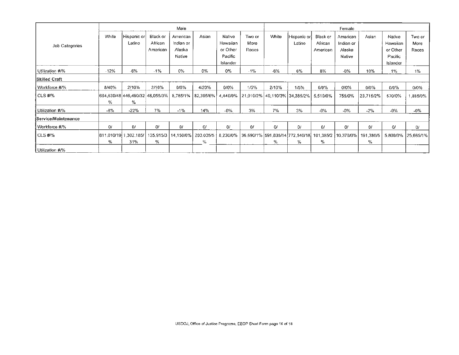|                      | Male   |                       |                                                              |                                           |                            | Female                                                |                                        |       |                                                                  |                                 |                                           |                  |                                                       |                         |
|----------------------|--------|-----------------------|--------------------------------------------------------------|-------------------------------------------|----------------------------|-------------------------------------------------------|----------------------------------------|-------|------------------------------------------------------------------|---------------------------------|-------------------------------------------|------------------|-------------------------------------------------------|-------------------------|
| Job Categories       | White  | Hispanic or<br>Latino | Black or<br>African<br>American                              | American<br>Indian or<br>Alaska<br>Native | Asian                      | Native<br>Hawaiian<br>or Other<br>Pacific<br>Islander | Two or<br>More<br>Races                | White | Hispanic or<br>Latino                                            | Black or<br>African<br>American | American<br>Indian or<br>Alaska<br>Native | Asian            | Native<br>Hawaiian<br>or Other<br>Pacific<br>Islander | Two or<br>More<br>Races |
| Utilization #/%      | $-12%$ | -6%                   | $-1\%$                                                       | 0%                                        | 0%                         | $0\%$                                                 | $-1%$                                  | -6%   | 6%                                                               | 8%                              | $-0\%$                                    | 10%              | $1\%$                                                 | 1%                      |
| <b>Skilled Craft</b> |        |                       |                                                              |                                           |                            |                                                       |                                        |       |                                                                  |                                 |                                           |                  |                                                       |                         |
| Workforce #/%        | 8/40%  | 2/10%                 | 2/10%                                                        | 0/0%                                      | 4/20%                      | 0/0%                                                  | 1/5%                                   | 2/10% | 1/5%                                                             | 0/0%                            | 0/0%                                      | $0/0\%$          | 0/0%                                                  | 0/0%                    |
| CLS#V%               | %      | ℅                     | 664,630/48 446,490/32 48,055/3%                              |                                           | $8,785/1\%$   $82,395/6\%$ |                                                       | 4.440/0% 21.010/2% 40.110/3% 34.385/2% |       |                                                                  | 5,510/0%                        | 755/0%                                    | 23.715/2%        | 570/0%                                                | 1,885/0%                |
| Utilization #/%      | $-8%$  | $-22%$                | 7%                                                           | $-1\%$                                    | 14%                        | $-0\%$                                                | 3%                                     | 7%    | 3%                                                               | $-0\%$                          | $-0%$                                     | $-2%$            | $-0%$                                                 | $-0\%$                  |
| Service/Maintenance  |        |                       |                                                              |                                           |                            |                                                       |                                        |       |                                                                  |                                 |                                           |                  |                                                       |                         |
| Workforce #P%        | O      | 0/                    | 0/                                                           | 0/                                        | 0/                         | 0/                                                    | O/                                     | 0/    | 0/                                                               | 0/                              | O(                                        | 0/               | O/                                                    | 0/                      |
| CLS #/%              | ℅      | 31%                   | 811,010/19 1,302,185/ 135,915/3   14,150/0%   203,035/5<br>% |                                           | ℅                          | 8,230/0%                                              |                                        | %     | 36,690/1%  591,835/14  772,540/18   101,385/2   10,370/0%  <br>℅ | %                               |                                           | 191,380/5  <br>% | 5,800/0%                                              | 25,665/1%               |
| Utilization #/%      |        |                       |                                                              |                                           |                            |                                                       |                                        |       |                                                                  |                                 |                                           |                  |                                                       |                         |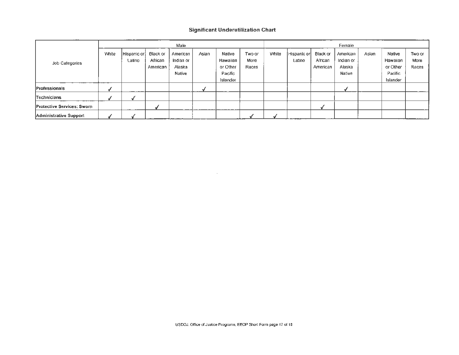## **Significant Underutilization Chart**

|                           | Male  |                       |                                 |                                                  |       |                                                       |                         | Female |                       |                                 |                                           |       |                                                       |                         |
|---------------------------|-------|-----------------------|---------------------------------|--------------------------------------------------|-------|-------------------------------------------------------|-------------------------|--------|-----------------------|---------------------------------|-------------------------------------------|-------|-------------------------------------------------------|-------------------------|
| Job Categories            | White | Hispanic or<br>Latino | Black or<br>African<br>American | American<br>Indian or<br>Alaska<br><b>Native</b> | Asian | Native<br>Hawaiian<br>or Other<br>Pacific<br>Islander | Two or<br>More<br>Races | White  | Hispanic or<br>Latino | Black or<br>African<br>American | American<br>Indian or<br>Alaska<br>Native | Asian | Native<br>Hawaiian<br>or Other<br>Pacific<br>Islander | Two or<br>More<br>Races |
| Professionals             |       |                       |                                 |                                                  |       |                                                       |                         |        |                       |                                 |                                           |       |                                                       |                         |
| Technicians               |       |                       |                                 |                                                  |       |                                                       |                         |        |                       |                                 |                                           |       |                                                       |                         |
| Protective Services: Swom |       |                       |                                 |                                                  |       |                                                       |                         |        |                       |                                 |                                           |       |                                                       |                         |
| Administrative Support    |       |                       |                                 |                                                  |       |                                                       |                         |        |                       |                                 |                                           |       |                                                       |                         |